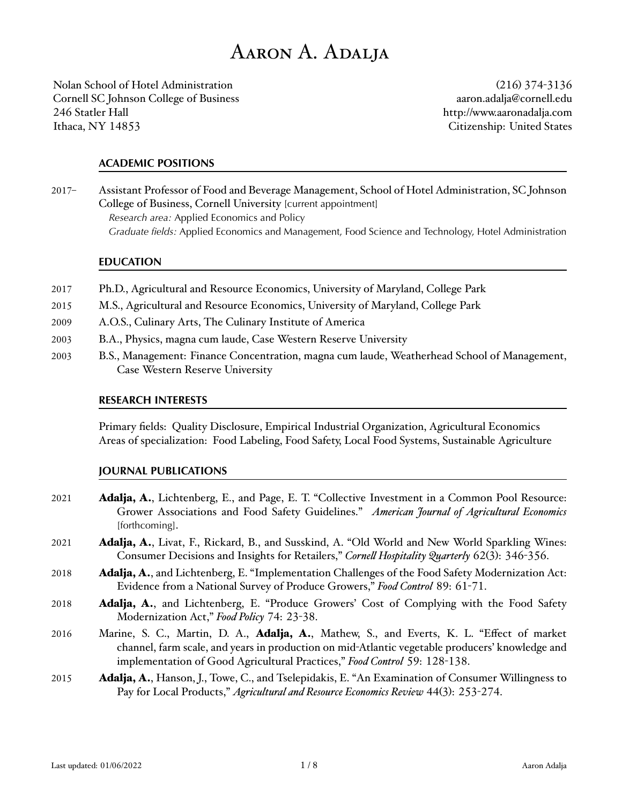# Aaron A. Adalja Aaron A. Adalja

Nolan School of Hotel Administration Cornell SC Johnson College of Business 246 Statler Hall 246 Statler Hall Ithaca, NY 14853 Citizenship: U

(216) 374-3136 [aaron.adalja@cornell.edu](mailto:aaron.adalja@cornell.edu) <http://www.aaronadalja.com> Citizenship: United States

## **ACADEMIC POSITIONS** ACADEMIC POSITIONS

2017- Assistant Professor of Food and Beverage Management, School of Hotel Administration, SC Johnson College of Business, Cornell University [current appointment] *Research area:* Applied Economics and Policy Research area: Applied Economics and Policy *Graduate fields:* Applied Economics and Management, Food Science and Technology, Hotel Administration Graduate fields: Applied Economics and Management, Food Science and Technology, Hotel Administration

#### **EDUCATION**

- 2017 Ph.D., Agricultural and Resource Economics, University of Maryland, College Park
- 2015 M.S., Agricultural and Resource Economics, University of Maryland, College Park
- 2009 A.O.S., Culinary Arts, The Culinary Institute of America
- 2003 B.A., Physics, magna cum laude, Case Western Reserve University B.A., Physics, magna cum laude, Case Western Reserve University 2003
- 2003 B.S., Management: Finance Concentration, magna cum laude, Weatherhead School of Management, Case Western Reserve University Reserve University

## **RESEARCH INTERESTS** RESEARCH INTERESTS

Primary fields: Quality Disclosure, Empirical Industrial Organization, Agricultural Economics Areas of specialization: Food Labeling, Food Safety, Local Food Systems, Sustainable Agriculture

#### **JOURNAL PUBLICATIONS** JOURNAL PUBLICATIONS

- 2021 Adalja, A., Lichtenberg, E., and Page, E. T. "Collective Investment in a Common Pool Resource: Grower Associations and Food Safety Guidelines." American Journal of Agricultural Economics [forthcoming].
- 2021 Adalja, A., Livat, F., Rickard, B., and Susskind, A. "Old World and New World Sparkling Wines: Consumer Decisions and Insights for Retailers," *Cornell Hospitality Quarterly 62(3)*: 346-356.
- 2018 Adalja, A., and Lichtenberg, E. "Implementation Challenges of the Food Safety Modernization Act: Evidence from a National Survey of Produce Growers," Food Control 89: 61-71.
- 2018 **Adalja, A.**, and Lichtenberg, E. "Produce Growers' Cost of Complying with the Food Safety Modernization Act," *Food Policy* 74: 23-38.
- 2016 Marine, S. C., Martin, D. A., Adalja, A., Mathew, S., and Everts, K. L. "Effect of market channel, farm scale, and years in production on mid-Atlantic vegetable producers' knowledge and implementation of Good Agricultural Practices," *Food Control* 59: 128-138.
- 2015 **Adalja, A.**, Hanson, J., Towe, C., and Tselepidakis, E. "An Examination of Consumer Willingness to Pay for Local Products," *Agricultural and Resource Economics Review 44(3)*: 253-274.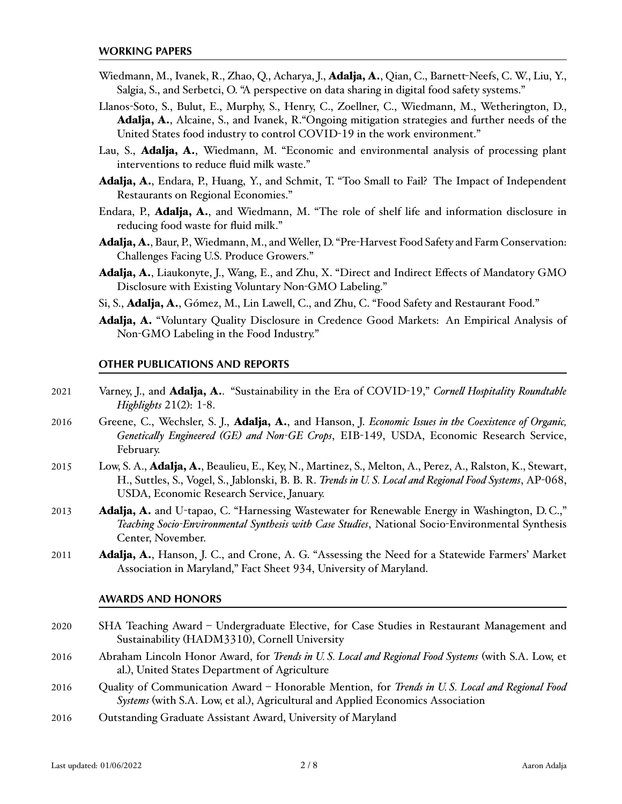- Wiedmann, M., Ivanek, R., Zhao, Q., Acharya, J., **Adalja, A.**, Qian, C., Barnett-Neefs, C. W., Liu, Y., Salgia, S., and Serbetci, O. "A perspective on data sharing in digital food safety systems."
- Llanos-Soto, S., Bulut, E., Murphy, S., Henry, C., Zoellner, C., Wiedmann, M., Wetherington, D., Adalja, A., Alcaine, S., and Ivanek, R. Ongoing mitigation strategies and further needs of the United States food industry to control COVID-19 in the work environment."
- Lau, S., Adalja, A., Wiedmann, M. "Economic and environmental analysis of processing plant interventions to reduce fluid milk waste."
- Adalja, A., Endara, P., Huang, Y., and Schmit, T. "Too Small to Fail? The Impact of Independent Restaurants on Regional Economies."
- Endara, P., **Adalja, A.**, and Wiedmann, M. "The role of shelf life and information disclosure in reducing food waste for fluid milk."
- Adalja, A., Baur, P., Wiedmann, M., and Weller, D. "Pre-Harvest Food Safety and Farm Conservation: Challenges Facing U.S. Produce Growers." Challenges Facing U.S. Produce Growers.
- Adalja, A., Liaukonyte, J., Wang, E., and Zhu, X. "Direct and Indirect Effects of Mandatory GMO Disclosure with Existing Voluntary Non-GMO Labeling."
- Si, S., Adalja, A., Gómez, M., Lin Lawell, C., and Zhu, C. "Food Safety and [Restaurant](https://clinlawell.dyson.cornell.edu/China_restaurant_food_RD_paper.pdf) Food."
- Adalja, A. "Voluntary Quality Disclosure in Credence Good Markets: An Empirical Analysis of Non-GMO Labeling in the Food Industry." Labeling in the Food Industry.

## **OTHER PUBLICATIONS AND REPORTS** OTHER PUBLICATIONS AND REPORTS

- 2021 Varney, J., and Adalja, A. "Sustainability in the Era of COVID-19," Cornell Hospitality Roundtable *Highlights* 21(2): 1-8.
- 2016 Greene, C., Wechsler, S. J., Adalja, A., and Hanson, J. Economic Issues in the Coexistence of Organic, Genetically Engineered (GE) and Non-GE Crops, EIB-149, USDA, Economic Research Service, February.
- 2015 Low, S. A., Adalja, A., Beaulieu, E., Key, N., Martinez, S., Melton, A., Perez, A., Ralston, K., Stewart, H., Suttles, S., Vogel, S., Jablonski, B. B. R. Trends in U. S. Local and Regional Food Systems, AP-068, USDA, Economic Research Service, January.
- 2013 Adalja, A. and U-tapao, C. "Harnessing Wastewater for Renewable Energy in Washington, D.C.," Teaching Socio-Environmental Synthesis with Case Studies, National Socio-Environmental Synthesis Center, November.
- 2011 **Adalja, A.**, Hanson, J. C., and Crone, A. G. "Assessing the Need for a Statewide Farmers' Market Association in Maryland," Fact Sheet 934, University of Maryland.

# **AWARDS AND HONORS** AWARDS AND HONORS

- 2020 SHA Teaching Award Undergraduate Elective, for Case Studies in Restaurant Management and Sustainability (HADM3310), Cornell University (HADM3310), Cornell University
- 2016 Abraham Lincoln Honor Award, for Trends in U.S. Local and Regional Food Systems (with S.A. Low, et al.), United States Department of Agriculture
- 2016 Cuality of Communication Award Honorable Mention, for Trends in U.S. Local and Regional Food Systems (with S.A. Low, et al.), Agricultural and Applied Economics Association
- 2016 Outstanding Graduate Assistant Award, University of Maryland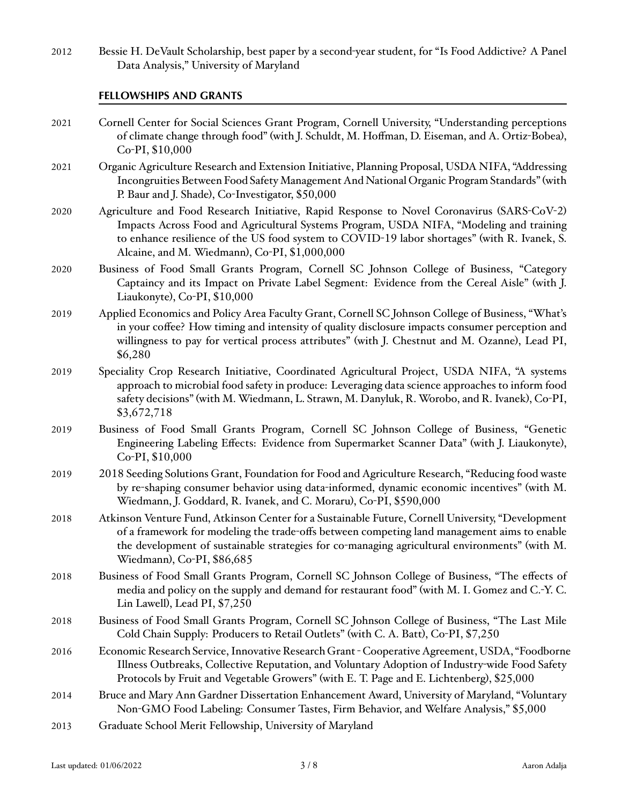2012 Bessie H. DeVault Scholarship, best paper by a second-year student, for "Is Food Addictive? A Panel Data Analysis," University of Maryland

# **FELLOWSHIPS AND GRANTS** FELLOWSHIPS AND GRANTS

| 2021 | Cornell Center for Social Sciences Grant Program, Cornell University, "Understanding perceptions<br>of climate change through food" (with J. Schuldt, M. Hoffman, D. Eiseman, and A. Ortiz-Bobea),<br>Co-PI, \$10,000                                                                                                                  |
|------|----------------------------------------------------------------------------------------------------------------------------------------------------------------------------------------------------------------------------------------------------------------------------------------------------------------------------------------|
| 2021 | Organic Agriculture Research and Extension Initiative, Planning Proposal, USDA NIFA, "Addressing<br>Incongruities Between Food Safety Management And National Organic Program Standards" (with<br>P. Baur and J. Shade), Co-Investigator, \$50,000                                                                                     |
| 2020 | Agriculture and Food Research Initiative, Rapid Response to Novel Coronavirus (SARS-CoV-2)<br>Impacts Across Food and Agricultural Systems Program, USDA NIFA, "Modeling and training<br>to enhance resilience of the US food system to COVID-19 labor shortages" (with R. Ivanek, S.<br>Alcaine, and M. Wiedmann), Co-PI, \$1,000,000 |
| 2020 | Business of Food Small Grants Program, Cornell SC Johnson College of Business, "Category<br>Captaincy and its Impact on Private Label Segment: Evidence from the Cereal Aisle" (with J.<br>Liaukonyte), Co-PI, \$10,000                                                                                                                |
| 2019 | Applied Economics and Policy Area Faculty Grant, Cornell SC Johnson College of Business, "What's<br>in your coffee? How timing and intensity of quality disclosure impacts consumer perception and<br>willingness to pay for vertical process attributes" (with J. Chestnut and M. Ozanne), Lead PI,<br>\$6,280                        |
| 2019 | Speciality Crop Research Initiative, Coordinated Agricultural Project, USDA NIFA, "A systems<br>approach to microbial food safety in produce: Leveraging data science approaches to inform food<br>safety decisions" (with M. Wiedmann, L. Strawn, M. Danyluk, R. Worobo, and R. Ivanek), Co-PI,<br>\$3,672,718                        |
| 2019 | Business of Food Small Grants Program, Cornell SC Johnson College of Business, "Genetic<br>Engineering Labeling Effects: Evidence from Supermarket Scanner Data" (with J. Liaukonyte),<br>Co-PI, \$10,000                                                                                                                              |
| 2019 | 2018 Seeding Solutions Grant, Foundation for Food and Agriculture Research, "Reducing food waste<br>by re-shaping consumer behavior using data-informed, dynamic economic incentives" (with M.<br>Wiedmann, J. Goddard, R. Ivanek, and C. Moraru), Co-PI, \$590,000                                                                    |
| 2018 | Atkinson Venture Fund, Atkinson Center for a Sustainable Future, Cornell University, "Development<br>of a framework for modeling the trade-offs between competing land management aims to enable<br>the development of sustainable strategies for co-managing agricultural environments" (with M.<br>Wiedmann), Co-PI, \$86,685        |
| 2018 | Business of Food Small Grants Program, Cornell SC Johnson College of Business, "The effects of<br>media and policy on the supply and demand for restaurant food" (with M. I. Gomez and C.-Y. C.<br>Lin Lawell), Lead PI, \$7,250                                                                                                       |
| 2018 | Business of Food Small Grants Program, Cornell SC Johnson College of Business, "The Last Mile<br>Cold Chain Supply: Producers to Retail Outlets" (with C. A. Batt), Co-PI, \$7,250                                                                                                                                                     |
| 2016 | Economic Research Service, Innovative Research Grant - Cooperative Agreement, USDA, "Foodborne<br>Illness Outbreaks, Collective Reputation, and Voluntary Adoption of Industry-wide Food Safety<br>Protocols by Fruit and Vegetable Growers" (with E. T. Page and E. Lichtenberg), \$25,000                                            |
| 2014 | Bruce and Mary Ann Gardner Dissertation Enhancement Award, University of Maryland, "Voluntary<br>Non-GMO Food Labeling: Consumer Tastes, Firm Behavior, and Welfare Analysis," \$5,000                                                                                                                                                 |
| 2013 | Graduate School Merit Fellowship, University of Maryland                                                                                                                                                                                                                                                                               |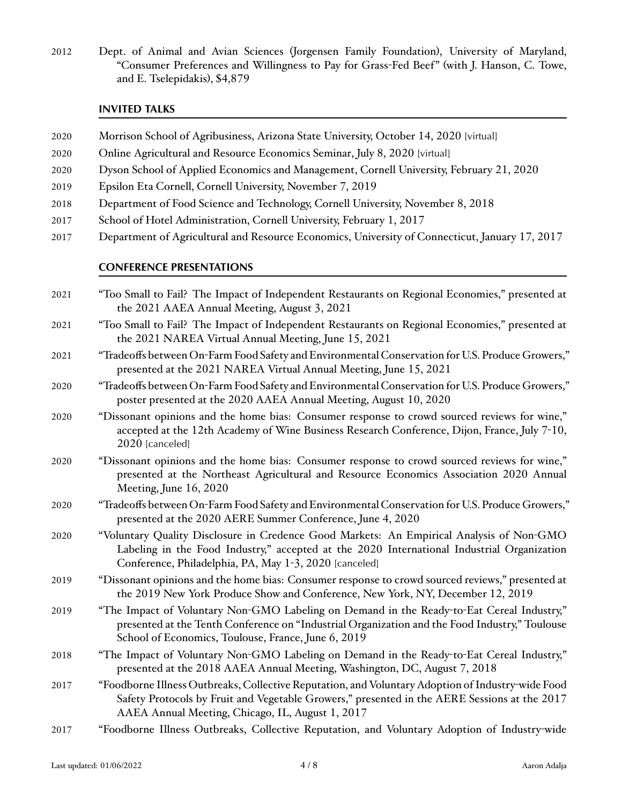2012 Dept. of Animal and Avian Sciences (Jorgensen Family Foundation), University of Maryland, Exercise Experiment and Trylan Sciences yorgensen Tannity Toundation, empersity of Maryland,<br>Consumer Preferences and Willingness to Pay for Grass-Fed Beef" (with J. Hanson, C. Towe, and E. Tselepidakis), \$4,879 2012 Dept. of Animal and Avian Sciences (Jorgensen Family Foundation), University of Maryland, Consumer

# **INVITED TALKS** INVITED TALKS

- 2020 Morrison School of Agribusiness, Arizona State University, October 14, 2020 [virtual]
- 2020 Onli[ne Agricultural and Resource Economics Seminar, July](https://sites.google.com/view/oares/home) 8, 2020 [virtual]
- 2020 Dyson School of Applied Economics and Management, Cornell University, February 21, 2020 2020 Dyson School ofApplied Economics and Management, Cornell University, February 21, 2020
- 2019 Epsilon Eta Cornell, Cornell University, November 7, 2019 Epsilon Eta Cornell, Cornell University, November 7, 2019 2019
- 2018 Department of Food Science and Technology, Cornell University, November 8, 2018 2018 Department of Food Science and Technology, Cornell University, November 8, 2018
- 2017 School of Hotel Administration, Cornell University, February 1, 2017
- 2017 Department of Agricultural and Resource Economics, University of Connecticut, January 17, 2017

# **CONFERENCE PRESENTATIONS** CONFERENCE PRESENTATIONS

- 2021 "Too Small to Fail? The Impact of Independent Restaurants on Regional Economies," presented at the 2021 AAEA Annual Meeting, August 3, 2021
- 2021 "Too Small to Fail? The Impact of Independent Restaurants on Regional Economies," presented at the 2021 NAREA Virtual Annual Meeting, June 15, 2021
- 2021 "Tradeoffs between On-Farm Food Safety and Environmental Conservation for U.S. Produce Growers," Tradeoffs betweenOn-FarmFood SafetyandEnvironmental Conservation forU.S. ProduceGrowers, presented at the 2021 NAREA Virtual Annual Meeting, June 15, 2021 presented at the 2021 NAREA Virtual Annual Meeting, June 15, 2021
- 2020 "Tradeoffs between On-Farm Food Safety and Environmental Conservation for U.S. Produce Growers," Tradeoffs betweenOn-FarmFood SafetyandEnvironmental Conservation forU.S. ProduceGrowers, poster presented at the 2020 AAEA Annual Meeting, August 10, 2020 poster presented at the 2020 AAEA Annual Meeting, August 10, 2020
- 2020 "Dissonant opinions and the home bias: Consumer response to crowd sourced reviews for wine," accepted at the 12th Academy of Wine Business Research Conference, Dijon, France, July 7-10, 2020 [canceled]
- 2020 "Dissonant opinions and the home bias: Consumer response to crowd sourced reviews for wine," Dissonant opinions and the home bias: Consumer response to crowd sourced reviews for wine, presented at the Northeast Agricultural and Resource Economics Association 2020 Annual Meeting, June 16, 2020 June 16, 2020
- 2020 "Tradeoffs between On-Farm Food Safety and Environmental Conservation for U.S. Produce Growers," Tradeoffs betweenOn-FarmFood SafetyandEnvironmental Conservation forU.S. ProduceGrowers, presented at the 2020 AERE Summer Conference, June 4, 2020 presented at the 2020 AERE Summer Conference, June 4, 2020
- 2020 "Voluntary Quality Disclosure in Credence Good Markets: An Empirical Analysis of Non-GMO Labeling in the Food Industry," accepted at the 2020 International Industrial Organization Conference, Philadelphia, PA, May 1-3, 2020 [canceled]
- 2019 "Dissonant opinions and the home bias: Consumer response to crowd sourced reviews," presented at the 2019 New York Produce Show and Conference, New York, NY, December 12, 2019
- 2019 "The Impact of Voluntary Non-GMO Labeling on Demand in the Ready-to-Eat Cereal Industry," The Impact of Voluntary Non-GMO Labeling on Demand in the Ready-to-Eat Cereal Industry, presented at the Tenth presented at the Tenth Conference on "Industrial Organization and the Food Industry," Toulouse School of Economics, Toulouse, France, June 6, 2019
- 2018 "The Impact of Voluntary Non-GMO Labeling on Demand in the Ready-to-Eat Cereal Industry," The Impact of Voluntary Non-GMO Labeling on Demand in the Ready-to-Eat Cereal Industry, presented at the 2018 presented at the 2018 AAEA Annual Meeting, Washington, DC, August 7, 2018 AAEA Annual Meeting, Washington, DC, August 7, 2018
- 2017 "Foodborne Illness Outbreaks, Collective Reputation, and Voluntary Adoption of Industry-wide Food Safety Protocols by Fruit and Vegetable Growers," presented in the AERE Sessions at the 2017 AAEA Annual Meeting, Chicago, IL, August 1, 2017 August 1, 2017
- 2017 "Foodborne Illness Outbreaks, Collective Reputation, and Voluntary Adoption of Industry-wide NAREA Annual Meeting, Washington, D. C., June 12, 2017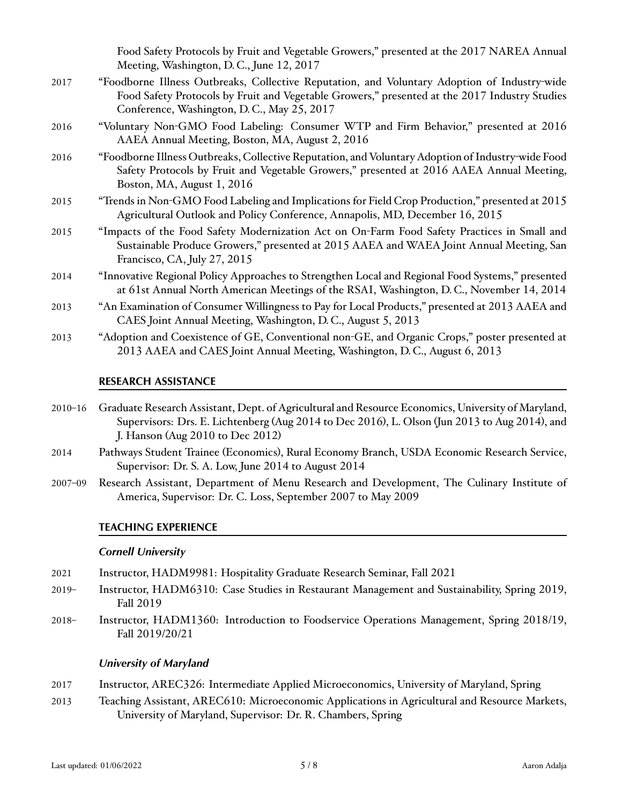Food Safety Protocols by Fruit and Vegetable Growers," presented at the 2017 NAREA Annual Meeting, Washington, D. C., June 12, 2017

- 2017 "Foodborne Illness Outbreaks, Collective Reputation, and Voluntary Adoption of Industry-wide Foodborne Illness Outbreaks, Collective Reputation, and Voluntary Adoption of Industry-wide Food Safety Protocols Food Safety Protocols by Fruit and Vegetable Growers," presented at the 2017 Industry Studies Conference, Washington, D. C., May 25, 2017 D. C., May 25, 2017
- 2016 "Voluntary Non-GMO Food Labeling: Consumer WTP and Firm Behavior," presented at 2016 Voluntary Non-GMO Food Labeling: Consumer WTP and Firm Behavior, presented at 2016 AAEA Annual Meeting, Boston, AAEA Annual Meeting, Boston, MA, August 2, 2016 MA, August 2, 2016
- 2016 "Foodborne Illness Outbreaks, Collective Reputation, and Voluntary Adoption of Industry-wide Food Safety Protocols by Fruit and Vegetable Growers," presented at 2016 AAEA Annual Meeting, Boston, MA, August 1, 2016
- 2015 "Trends in Non-GMO Food Labeling and Implications for Field Crop Production," presented at 2015 Agricultural Outlook and Policy Conference, Annapolis, MD, December 16, 2015
- 2015 "Impacts of the Food Safety Modernization Act on On-Farm Food Safety Practices in Small and Sustainable Produce Growers," presented at 2015 AAEA and WAEA Joint Annual Meeting, San Francisco, CA, July 27, 2015 CA, July 27, 2015
- 2014 "Innovative Regional Policy Approaches to Strengthen Local and Regional Food Systems," presented at 61st Annual North American Meetings of the RSAI, Washington, D. C., November 14, 2014 American Meetings of the RSAI, Washington, D. C., November 14, 2014
- 2013 "An Examination of Consumer Willingness to Pay for Local Products," presented at 2013 AAEA and CAES Joint Annual Meeting, Washington, D. C., August 5, 2013 Washington, D. C., August 5, 2013
- 2013 "Adoption and Coexistence of GE, Conventional non-GE, and Organic Crops," poster presented at 2013 AAEA and CAES Joint Annual Meeting, Washington, D. C., August 6, 2013 AAEA and CAES Joint Annual Meeting, Washington, D. C., August 6, 2013

# **RESEARCH ASSISTANCE** RESEARCH ASSISTANCE

- 2010–16 Graduate Research Assistant, Dept. of Agricultural and Resource Economics, University of Maryland, Supervisors: Drs. E. Lichtenberg (Aug 2014 to Dec 2016), L. Olson (Jun 2013 to Aug 2014), and J. Hanson (Aug 2010 to Dec 2012)
- 2014 Pathways Student Trainee (Economics), Rural Economy Branch, USDA Economic Research Service, Supervisor: Dr. S. A. Low, June 2014 to August 2014
- 2007-09 Research Assistant, Department of Menu Research and Development, The Culinary Institute of America, Supervisor: Dr. C. Loss, September 2007 to May 2009

## **TEACHING EXPERIENCE** TEACHING EXPERIENCE

#### *Cornell University* Cornell University

- 2021 Instructor, HADM9981: Hospitality Graduate Research Seminar, Fall 2021 Instructor, HADM9981: Hospitality Graduate Research Seminar, Fall 2021 2021
- 2019- Instructor, HADM6310: Case Studies in Restaurant Management and Sustainability, Spring 2019, Fall 2019
- 2018- Instructor, HADM1360: Introduction to Foodservice Operations Management, Spring 2018/19, Fall 2019/20/21

#### **University of Maryland**

- 2017 Instructor, AREC326: Intermediate Applied Microeconomics, University of Maryland, Spring
- 2013 Teaching Assistant, AREC610: Microeconomic Applications in Agricultural and Resource Markets, University of Maryland, Supervisor: Dr. R. Chambers, Spring Supervisor: Dr. R. Chambers, Spring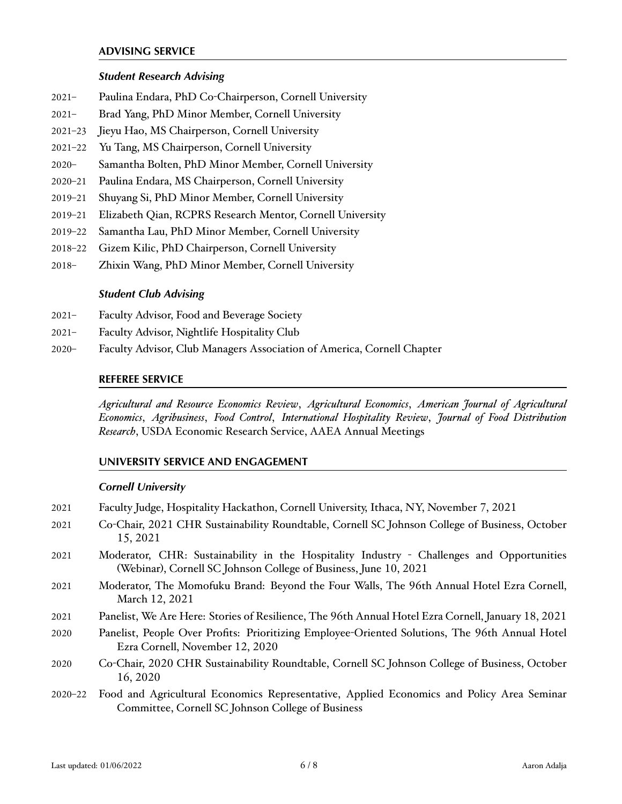#### **ADVISING SERVICE**

#### *Student Research Advising*

- 2021– Paulina Endara, PhD Co-Chairperson, Cornell University Paulina Endara, PhD Co-Chairperson, Cornell University 2021
- 2021– Brad Yang, PhD Minor Member, Cornell University Brad Yang, PhDMinor Member, Cornell University 2021
- 2021-23 Jieyu Hao, MS Chairperson, Cornell University
- 2021-22 Yu Tang, MS Chairperson, Cornell University
- 2020– Samantha Bolten, PhD Minor Member, Cornell University Samantha Bolten, PhDMinor Member, Cornell University 2020
- 2020-21 Paulina Endara, MS Chairperson, Cornell University
- 2019-21 Shuyang Si, PhD Minor Member, Cornell University
- 2019-21 Elizabeth Qian, RCPRS Research Mentor, Cornell University
- 2019-22 Samantha Lau, PhD Minor Member, Cornell University
- 2018-22 Gizem Kilic, PhD Chairperson, Cornell University
- 2018– Zhixin Wang, PhD Minor Member, Cornell University Zhixin Wang, PhDMinor Member, Cornell University 2018

# *Student Club Advising* Student Club Advising

- 2021– Faculty Advisor, Food and Beverage Society Faculty Advisor, Food and Beverage Society 2021
- 2021– Faculty Advisor, Nightlife Hospitality Club Faculty Advisor, Nightlife Hospitality Club 2021
- 2020- Faculty Advisor, Club Managers Association of America, Cornell Chapter

## **REFEREE SERVICE** REFEREE SERVICE

Agricultural and Resource Economics Review, Agricultural Economics, American Journal of Agricultural Economics, Agribusiness, Food Control, International Hospitality Review, Journal of Food Distribution *Research*, USDA Economic Research Service, AAEA Annual Meetings Research, USDA Economic Research Service, AAEA Annual Meetings

# **UNIVERSITY SERVICE AND ENGAGEMENT** UNIVERSITY SERVICE AND ENGAGEMENT

# *Cornell University* Cornell University

- 2021 Faculty Judge, Hospitality Hackathon, Cornell University, Ithaca, NY, November 7, 2021
- 2021 Co-Chair, 2021 CHR Sustainability Roundtable, Cornell SC Johnson College of Business, October 15, 2021
- 2021 Moderator, CHR: Sustainability in the Hospitality Industry Challenges and Opportunities (Webinar), Cornell SC Johnson College of Business, June 10, 2021
- 2021 Moderator, The Momofuku Brand: Beyond the Four Walls, The 96th Annual Hotel Ezra Cornell, March 12, 2021
- 2021 Panelist, We Are Here: Stories of Resilience, The 96th Annual Hotel Ezra Cornell, January 18, 2021 Panelist, We Are Here: Stories ofResilience, The 96th Annual Hotel Ezra Cornell, January 18, 2021 2021
- 2020 Panelist, People Over Profits: Prioritizing Employee-Oriented Solutions, The 96th Annual Hotel Ezra Cornell, November 12, 2020
- 2020 Co-Chair, 2020 CHR Sustainability Roundtable, Cornell SC Johnson College of Business, October 16, 2020
- 2020–22 Food and Agricultural Economics Representative, Applied Economics and Policy Area Seminar Committee, Cornell SC Johnson College of Business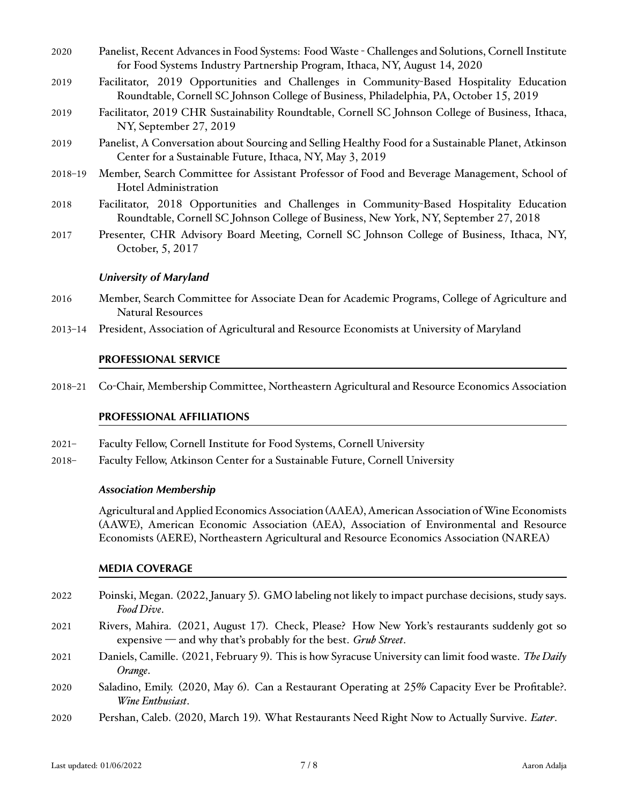- 2020 Panelist, Recent Advances in Food Systems: Food Waste Challenges and Solutions, Cornell Institute for Food Systems Industry Partnership Program, Ithaca, NY, August 14, 2020 Program, Ithaca, NY, August 14, 2020
- 2019 Facilitator, 2019 Opportunities and Challenges in Community-Based Hospitality Education Roundtable, Cornell SC Johnson College of Business, Philadelphia, PA, October 15, 2019
- 2019 Facilitator, 2019 CHR Sustainability Roundtable, Cornell SC Johnson College of Business, Ithaca, NY, September 27, 2019
- 2019 Panelist, A Conversation about Sourcing and Selling Healthy Food for a Sustainable Planet, Atkinson Center for a Sustainable Future, Ithaca, NY, May 3, 2019
- 2018-19 Member, Search Committee for Assistant Professor of Food and Beverage Management, School of Hotel Administration
- 2018 Facilitator, 2018 Opportunities and Challenges in Community-Based Hospitality Education Roundtable, Cornell SC Johnson College of Business, New York, NY, September 27, 2018
- 2017 Presenter, CHR Advisory Board Meeting, Cornell SC Johnson College of Business, Ithaca, NY, October, 5, 2017

#### **University of Maryland**

- 2016 Member, Search Committee for Associate Dean for Academic Programs, College of Agriculture and Natural Resources
- 2013-14 President, Association of Agricultural and Resource Economists at University of Maryland

# **PROFESSIONAL SERVICE** PROFESSIONAL SERVICE

2018-21 Co-Chair, Membership Committee, Northeastern Agricultural and Resource Economics Association

# **PROFESSIONAL AFFILIATIONS** PROFESSIONAL AFFILIATIONS

- 2021– Faculty Fellow, Cornell Institute for Food Systems, Cornell University Faculty Fellow, Cornell Institute for Food Systems, Cornell University 2021
- 2018– Faculty Fellow, Atkinson Center for a Sustainable Future, Cornell University Faculty Fellow, Atkinson Center for a Sustainable Future, Cornell University 2018

#### *Association Membership* Association Membership

Agricultural and Applied Economics Association (AAEA), American Association of Wine Economists (AAWE), American Economic Association (AEA), Association of Environmental and Resource Economists (AERE), Northeastern Agricultural and Resource Economics Association (NAREA)

# **MEDIA COVERAGE** MEDIA COVERAGE

- 2022 Poinski, Megan. (2022, January 5). GMO labeling not likely to impact purchase decisions, study says. *Food Dive*.
- 2021 Rivers, Mahira. (2021, August 17). Check, Please? How New York's restaurants suddenly got so expensive - and why that's probably for the best. Grub Street.
- 2021 Daniels, Camille. (2021, February 9). This is ho[w Syracuse University can limit food waste. The Daily](http://dailyorange.com/2021/02/syracuse-university-can-limit-food-waste/) *Orange*.
- 2020 Saladino, Emily. (2020, May 6). Can a Restaurant Operating at 25% Capacity Ever be Profitable?. *Wine Enthusiast*.
- 2020 Pershan, Caleb. (2020, March 19). What Restaurants Need Right Now to Actually Survive. *Eater*. Pershan, Caleb. (2020, March 19). What Resta[urants Need Right Now to Actually Survive. Eater](https://www.eater.com/2020/3/19/21185918/how-can-goverment-assistance-help-restaurants-actually-need-in-the-form-of-relief). 2020